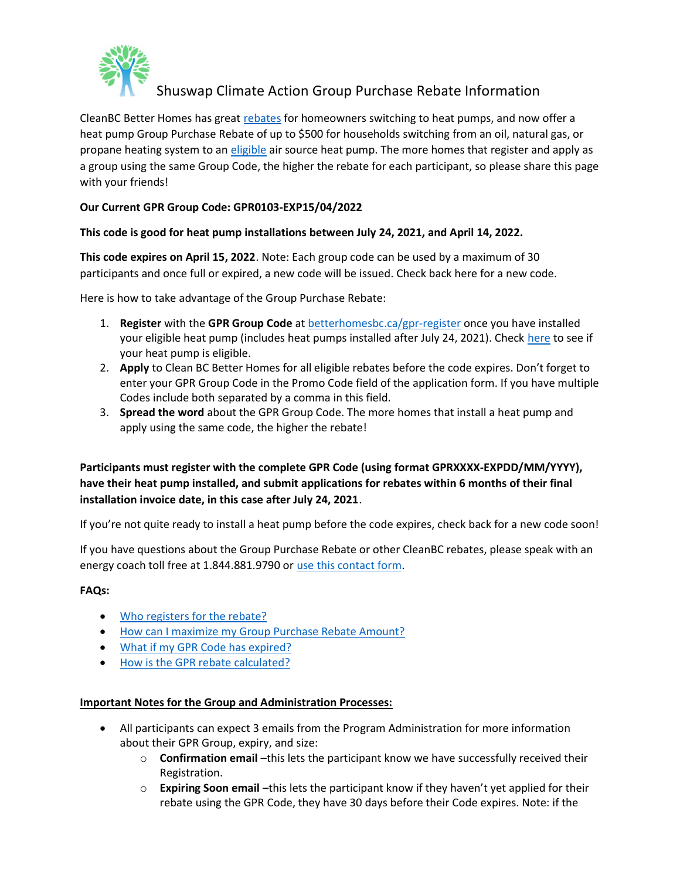

# Shuswap Climate Action Group Purchase Rebate Information

CleanBC Better Homes has great rebates for homeowners switching to heat pumps, and now offer a heat pump Group Purchase Rebate of up to \$500 for households switching from an oil, natural gas, or propane heating system to an eligible air source heat pump. The more homes that register and apply as a group using the same Group Code, the higher the rebate for each participant, so please share this page with your friends!

# Our Current GPR Group Code: GPR0103-EXP15/04/2022

#### This code is good for heat pump installations between July 24, 2021, and April 14, 2022.

This code expires on April 15, 2022. Note: Each group code can be used by a maximum of 30 participants and once full or expired, a new code will be issued. Check back here for a new code.

Here is how to take advantage of the Group Purchase Rebate:

- 1. Register with the GPR Group Code at **betterhomesbc.ca/gpr-register** once you have installed your eligible heat pump (includes heat pumps installed after July 24, 2021). Check here to see if your heat pump is eligible.
- 2. Apply to Clean BC Better Homes for all eligible rebates before the code expires. Don't forget to enter your GPR Group Code in the Promo Code field of the application form. If you have multiple Codes include both separated by a comma in this field.
- 3. Spread the word about the GPR Group Code. The more homes that install a heat pump and apply using the same code, the higher the rebate!

# Participants must register with the complete GPR Code (using format GPRXXXX-EXPDD/MM/YYYY), have their heat pump installed, and submit applications for rebates within 6 months of their final installation invoice date, in this case after July 24, 2021.

If you're not quite ready to install a heat pump before the code expires, check back for a new code soon!

If you have questions about the Group Purchase Rebate or other CleanBC rebates, please speak with an energy coach toll free at 1.844.881.9790 or use this contact form.

#### FAQs:

- Who registers for the rebate?
- How can I maximize my Group Purchase Rebate Amount?
- What if my GPR Code has expired?
- How is the GPR rebate calculated?

#### Important Notes for the Group and Administration Processes:

- All participants can expect 3 emails from the Program Administration for more information about their GPR Group, expiry, and size:
	- $\circ$  **Confirmation email** –this lets the participant know we have successfully received their Registration.
	- $\circ$  Expiring Soon email –this lets the participant know if they haven't yet applied for their rebate using the GPR Code, they have 30 days before their Code expires. Note: if the